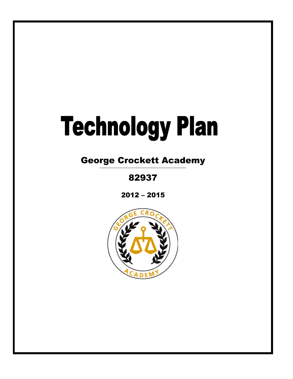# **Technology Plan**

George Crockett Academy

82937

2012 – 2015

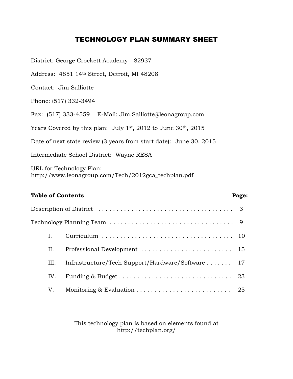### TECHNOLOGY PLAN SUMMARY SHEET

District: George Crockett Academy - 82937 Address: 4851 14th Street, Detroit, MI 48208 Contact: Jim Salliotte Phone: (517) 332-3494 Fax: (517) 333-4559 E-Mail: Jim.Salliotte@leonagroup.com Years Covered by this plan: July  $1^{st}$ , 2012 to June 30<sup>th</sup>, 2015 Date of next state review (3 years from start date): June 30, 2015 Intermediate School District: Wayne RESA URL for Technology Plan:

http://www.leonagroup.com/Tech/2012gca\_techplan.pdf

### Table of Contents **Page:**

|     | Description of District $\ldots \ldots \ldots \ldots \ldots \ldots \ldots \ldots \ldots \ldots \ldots$ |  |
|-----|--------------------------------------------------------------------------------------------------------|--|
|     | $\rm Technology~Planning~Team\,\dots\dots\dots\dots\dots\dots\dots\dots\dots\dots\dots\quad9$          |  |
|     |                                                                                                        |  |
| H.  |                                                                                                        |  |
| Ш.  | Infrastructure/Tech Support/Hardware/Software  17                                                      |  |
| IV. |                                                                                                        |  |
| V.  | Monitoring & Evaluation $\ldots \ldots \ldots \ldots \ldots \ldots \ldots \ldots$ 25                   |  |

This technology plan is based on elements found at http://techplan.org/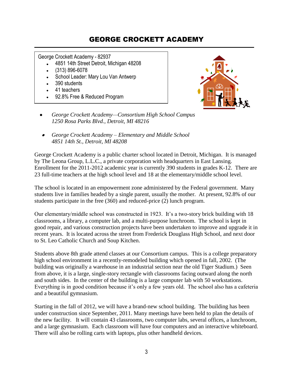### GEORGE CROCKETT ACADEMY

George Crockett Academy - 82937

- 4851 14th Street Detroit, Michigan 48208  $\bullet$
- (313) 896-6078
- School Leader: Mary Lou Van Antwerp
- 390 students
- 41 teachers
- 92.8% Free & Reduced Program



- *George Crockett Academy—Consortium High School Campus 1250 Rosa Parks Blvd., Detroit, MI 48216*
- *George Crockett Academy – Elementary and Middle School 4851 14th St., Detroit, MI 48208*

George Crockett Academy is a public charter school located in Detroit, Michigan. It is managed by The Leona Group, L.L.C., a private corporation with headquarters in East Lansing. Enrollment for the 2011-2012 academic year is currently 390 students in grades K-12. There are 23 full-time teachers at the high school level and 18 at the elementary/middle school level.

The school is located in an empowerment zone administered by the Federal government. Many students live in families headed by a single parent, usually the mother. At present, 92.8% of our students participate in the free (360) and reduced-price (2) lunch program.

Our elementary/middle school was constructed in 1923. It's a two-story brick building with 18 classrooms, a library, a computer lab, and a multi-purpose lunchroom. The school is kept in good repair, and various construction projects have been undertaken to improve and upgrade it in recent years. It is located across the street from Frederick Douglass High School, and next door to St. Leo Catholic Church and Soup Kitchen.

Students above 8th grade attend classes at our Consortium campus. This is a college preparatory high school environment in a recently-remodeled building which opened in fall, 2002. (The building was originally a warehouse in an industrial section near the old Tiger Stadium.) Seen from above, it is a large, single-story rectangle with classrooms facing outward along the north and south sides. In the center of the building is a large computer lab with 50 workstations. Everything is in good condition because it's only a few years old. The school also has a cafeteria and a beautiful gymnasium.

Starting in the fall of 2012, we will have a brand-new school building. The building has been under construction since September, 2011. Many meetings have been held to plan the details of the new facility. It will contain 43 classrooms, two computer labs, several offices, a lunchroom, and a large gymnasium. Each classroom will have four computers and an interactive whiteboard. There will also be rolling carts with laptops, plus other handheld devices.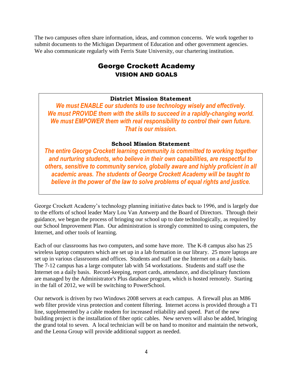The two campuses often share information, ideas, and common concerns. We work together to submit documents to the Michigan Department of Education and other government agencies. We also communicate regularly with Ferris State University, our chartering institution.

### George Crockett Academy VISION AND GOALS

### **District Mission Statement**

*We must ENABLE our students to use technology wisely and effectively. We must PROVIDE them with the skills to succeed in a rapidly-changing world. We must EMPOWER them with real responsibility to control their own future. That is our mission.*

### **School Mission Statement**

*The entire George Crockett learning community is committed to working together and nurturing students, who believe in their own capabilities, are respectful to others, sensitive to community service, globally aware and highly proficient in all academic areas. The students of George Crockett Academy will be taught to believe in the power of the law to solve problems of equal rights and justice.*

George Crockett Academy's technology planning initiative dates back to 1996, and is largely due to the efforts of school leader Mary Lou Van Antwerp and the Board of Directors. Through their guidance, we began the process of bringing our school up to date technologically, as required by our School Improvement Plan. Our administration is strongly committed to using computers, the Internet, and other tools of learning.

Each of our classrooms has two computers, and some have more. The K-8 campus also has 25 wireless laptop computers which are set up in a lab formation in our library. 25 more laptops are set up in various classrooms and offices. Students and staff use the Internet on a daily basis. The 7-12 campus has a large computer lab with 54 workstations. Students and staff use the Internet on a daily basis. Record-keeping, report cards, attendance, and disciplinary functions are managed by the Administrator's Plus database program, which is hosted remotely. Starting in the fall of 2012, we will be switching to PowerSchool.

Our network is driven by two Windows 2008 servers at each campus. A firewall plus an M86 web filter provide virus protection and content filtering. Internet access is provided through a T1 line, supplemented by a cable modem for increased reliability and speed. Part of the new building project is the installation of fiber optic cables. New servers will also be added, bringing the grand total to seven. A local technician will be on hand to monitor and maintain the network, and the Leona Group will provide additional support as needed.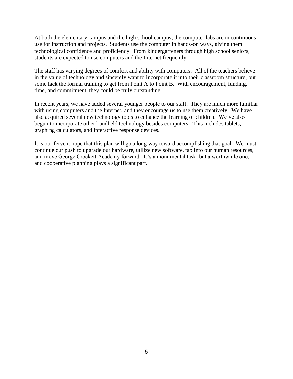At both the elementary campus and the high school campus, the computer labs are in continuous use for instruction and projects. Students use the computer in hands-on ways, giving them technological confidence and proficiency. From kindergarteners through high school seniors, students are expected to use computers and the Internet frequently.

The staff has varying degrees of comfort and ability with computers. All of the teachers believe in the value of technology and sincerely want to incorporate it into their classroom structure, but some lack the formal training to get from Point A to Point B. With encouragement, funding, time, and commitment, they could be truly outstanding.

In recent years, we have added several younger people to our staff. They are much more familiar with using computers and the Internet, and they encourage us to use them creatively. We have also acquired several new technology tools to enhance the learning of children. We've also begun to incorporate other handheld technology besides computers. This includes tablets, graphing calculators, and interactive response devices.

It is our fervent hope that this plan will go a long way toward accomplishing that goal. We must continue our push to upgrade our hardware, utilize new software, tap into our human resources, and move George Crockett Academy forward. It's a monumental task, but a worthwhile one, and cooperative planning plays a significant part.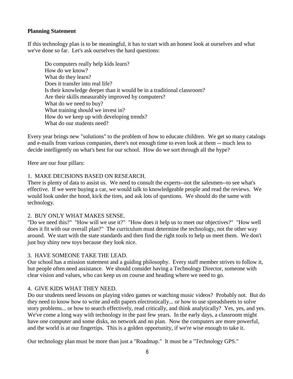### **Planning Statement**

If this technology plan is to be meaningful, it has to start with an honest look at ourselves and what we've done so far. Let's ask ourselves the hard questions:

Do computers really help kids learn? How do we know? What do they learn? Does it transfer into real life? Is their knowledge deeper than it would be in a traditional classroom? Are their skills measurably improved by computers? What do we need to buy? What training should we invest in? How do we keep up with developing trends? What do our students need?

Every year brings new "solutions" to the problem of how to educate children. We get so many catalogs and e-mails from various companies, there's not enough time to even look at them -- much less to decide intelligently on what's best for our school. How do we sort through all the hype?

Here are our four pillars:

### 1. MAKE DECISIONS BASED ON RESEARCH.

There is plenty of data to assist us. We need to consult the experts--not the salesmen--to see what's effective. If we were buying a car, we would talk to knowledgeable people and read the reviews. We would look under the hood, kick the tires, and ask lots of questions. We should do the same with technology.

### 2. BUY ONLY WHAT MAKES SENSE.

"Do we need this?" "How will we use it?" "How does it help us to meet our objectives?" "How well does it fit with our overall plan?" The curriculum must determine the technology, not the other way around. We start with the state standards and then find the right tools to help us meet them. We don't just buy shiny new toys because they look nice.

### 3. HAVE SOMEONE TAKE THE LEAD.

Our school has a mission statement and a guiding philosophy. Every staff member strives to follow it, but people often need assistance. We should consider having a Technology Director, someone with clear vision and values, who can keep us on course and heading where we need to go.

### 4. GIVE KIDS WHAT THEY NEED.

Do our students need lessons on playing video games or watching music videos? Probably not. But do they need to know how to write and edit papers electronically... or how to use spreadsheets to solve story problems... or how to search effectively, read critically, and think analytically? Yes, yes, and yes. We've come a long way with technology in the past few years. In the early days, a classroom might have one computer and some disks, no network and no plan. Now the computers are more powerful, and the world is at our fingertips. This is a golden opportunity, if we're wise enough to take it.

Our technology plan must be more than just a "Roadmap." It must be a "Technology GPS."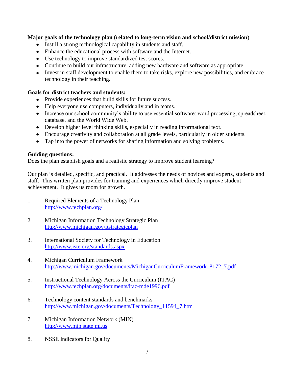### **Major goals of the technology plan (related to long-term vision and school/district mission**):

- Instill a strong technological capability in students and staff.
- Enhance the educational process with software and the Internet.
- Use technology to improve standardized test scores.
- Continue to build our infrastructure, adding new hardware and software as appropriate.
- Invest in staff development to enable them to take risks, explore new possibilities, and embrace technology in their teaching.

### **Goals for district teachers and students:**

- Provide experiences that build skills for future success.
- Help everyone use computers, individually and in teams.
- Increase our school community's ability to use essential software: word processing, spreadsheet, database, and the World Wide Web.
- Develop higher level thinking skills, especially in reading informational text.
- Encourage creativity and collaboration at all grade levels, particularly in older students.
- Tap into the power of networks for sharing information and solving problems.

### **Guiding questions:**

Does the plan establish goals and a realistic strategy to improve student learning?

Our plan is detailed, specific, and practical. It addresses the needs of novices and experts, students and staff. This written plan provides for training and experiences which directly improve student achievement. It gives us room for growth.

- 1. Required Elements of a Technology Plan <http://www.techplan.org/>
- 2 Michigan Information Technology Strategic Plan <http://www.michigan.gov/itstrategicplan>
- 3. International Society for Technology in Education <http://www.iste.org/standards.aspx>
- 4. Michigan Curriculum Framework [http://www.michigan.gov/documents/MichiganCurriculumFramework\\_8172\\_7.pdf](http://www.michigan.gov/documents/MichiganCurriculumFramework_8172_7.pdf)
- 5. Instructional Technology Across the Curriculum (ITAC) <http://www.techplan.org/documents/itac-mde1996.pdf>
- 6. Technology content standards and benchmarks [http://www.michigan.gov/documents/Technology\\_11594\\_7.htm](http://www.michigan.gov/documents/Technology_11594_7.htm)
- 7. Michigan Information Network (MIN) [http://www.min.state.mi.us](http://www.min.state.mi.us/)
- 8. NSSE Indicators for Quality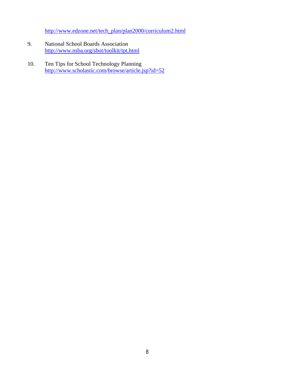[http://www.edzone.net/tech\\_plan/plan2000/curriculum2.html](http://www.edzone.net/tech_plan/plan2000/curriculum2.html)

- 9. National School Boards Association <http://www.nsba.org/sbot/toolkit/tpt.html>
- 10. Ten Tips for School Technology Planning <http://www.scholastic.com/browse/article.jsp?id=52>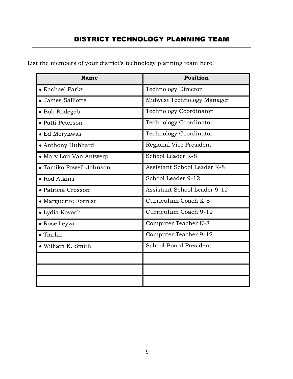### DISTRICT TECHNOLOGY PLANNING TEAM

| List the members of your district's technology planning team here: |  |
|--------------------------------------------------------------------|--|
|--------------------------------------------------------------------|--|

| <b>Name</b>             | Position                      |  |  |  |  |
|-------------------------|-------------------------------|--|--|--|--|
| • Rachael Parks         | <b>Technology Director</b>    |  |  |  |  |
| • James Salliotte       | Midwest Technology Manager    |  |  |  |  |
| • Bob Rodegeb           | <b>Technology Coordinator</b> |  |  |  |  |
| • Patti Peterson        | <b>Technology Coordinator</b> |  |  |  |  |
| $\bullet$ Ed Morykwas   | <b>Technology Coordinator</b> |  |  |  |  |
| • Anthony Hubbard       | Regional Vice President       |  |  |  |  |
| • Mary Lou Van Antwerp  | School Leader K-8             |  |  |  |  |
| • Tamiko Powell-Johnson | Assistant School Leader K-8   |  |  |  |  |
| • Rod Atkins            | School Leader 9-12            |  |  |  |  |
| • Patricia Crosson      | Assistant School Leader 9-12  |  |  |  |  |
| • Marguerite Forrest    | Curriculum Coach K-8          |  |  |  |  |
| • Lydia Kovach          | Curriculum Coach 9-12         |  |  |  |  |
| • Rose Leyva            | Computer Teacher K-8          |  |  |  |  |
| $\bullet$ Tiarlin       | Computer Teacher 9-12         |  |  |  |  |
| • William K. Smith      | <b>School Board President</b> |  |  |  |  |
|                         |                               |  |  |  |  |
|                         |                               |  |  |  |  |
|                         |                               |  |  |  |  |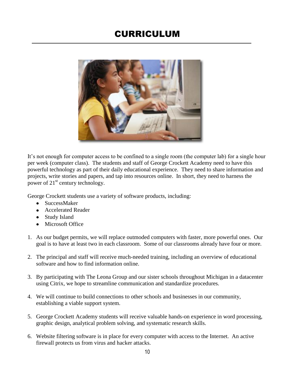### CURRICULUM



It's not enough for computer access to be confined to a single room (the computer lab) for a single hour per week (computer class). The students and staff of George Crockett Academy need to have this powerful technology as part of their daily educational experience. They need to share information and projects, write stories and papers, and tap into resources online. In short, they need to harness the power of 21<sup>st</sup> century technology.

George Crockett students use a variety of software products, including:

- SuccessMaker
- Accelerated Reader
- Study Island
- Microsoft Office
- 1. As our budget permits, we will replace outmoded computers with faster, more powerful ones. Our goal is to have at least two in each classroom. Some of our classrooms already have four or more.
- 2. The principal and staff will receive much-needed training, including an overview of educational software and how to find information online.
- 3. By participating with The Leona Group and our sister schools throughout Michigan in a datacenter using Citrix, we hope to streamline communication and standardize procedures.
- 4. We will continue to build connections to other schools and businesses in our community, establishing a viable support system.
- 5. George Crockett Academy students will receive valuable hands-on experience in word processing, graphic design, analytical problem solving, and systematic research skills.
- 6. Website filtering software is in place for every computer with access to the Internet. An active firewall protects us from virus and hacker attacks.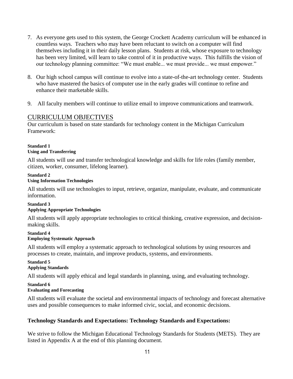- 7. As everyone gets used to this system, the George Crockett Academy curriculum will be enhanced in countless ways. Teachers who may have been reluctant to switch on a computer will find themselves including it in their daily lesson plans. Students at risk, whose exposure to technology has been very limited, will learn to take control of it in productive ways. This fulfills the vision of our technology planning committee: "We must enable... we must provide... we must empower."
- 8. Our high school campus will continue to evolve into a state-of-the-art technology center. Students who have mastered the basics of computer use in the early grades will continue to refine and enhance their marketable skills.
- 9. All faculty members will continue to utilize email to improve communications and teamwork.

### CURRICULUM OBJECTIVES

Our curriculum is based on state standards for technology content in the Michigan Curriculum Framework:

#### **Standard 1 Using and Transferring**

All students will use and transfer technological knowledge and skills for life roles (family member, citizen, worker, consumer, lifelong learner).

#### **Standard 2 Using Information Technologies**

All students will use technologies to input, retrieve, organize, manipulate, evaluate, and communicate information.

#### **Standard 3 Applying Appropriate Technologies**

All students will apply appropriate technologies to critical thinking, creative expression, and decisionmaking skills.

#### **Standard 4 Employing Systematic Approach**

All students will employ a systematic approach to technological solutions by using resources and processes to create, maintain, and improve products, systems, and environments.

#### **Standard 5 Applying Standards**

All students will apply ethical and legal standards in planning, using, and evaluating technology.

### **Standard 6**

### **Evaluating and Forecasting**

All students will evaluate the societal and environmental impacts of technology and forecast alternative uses and possible consequences to make informed civic, social, and economic decisions.

### **Technology Standards and Expectations: Technology Standards and Expectations:**

We strive to follow the Michigan Educational Technology Standards for Students (METS). They are listed in Appendix A at the end of this planning document.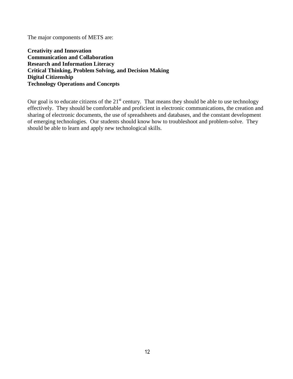The major components of METS are:

**Creativity and Innovation Communication and Collaboration Research and Information Literacy Critical Thinking, Problem Solving, and Decision Making Digital Citizenship Technology Operations and Concepts** 

Our goal is to educate citizens of the  $21<sup>st</sup>$  century. That means they should be able to use technology effectively. They should be comfortable and proficient in electronic communications, the creation and sharing of electronic documents, the use of spreadsheets and databases, and the constant development of emerging technologies. Our students should know how to troubleshoot and problem-solve. They should be able to learn and apply new technological skills.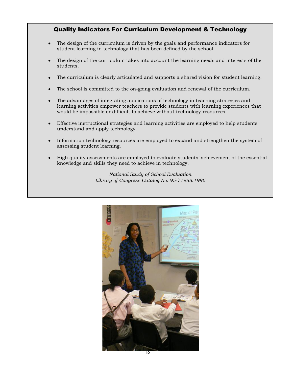### Quality Indicators For Curriculum Development & Technology

- The design of the curriculum is driven by the goals and performance indicators for  $\bullet$ student learning in technology that has been defined by the school.
- The design of the curriculum takes into account the learning needs and interests of the students.
- The curriculum is clearly articulated and supports a shared vision for student learning.
- The school is committed to the on-going evaluation and renewal of the curriculum.
- The advantages of integrating applications of technology in teaching strategies and  $\bullet$ learning activities empower teachers to provide students with learning experiences that would be impossible or difficult to achieve without technology resources.
- Effective instructional strategies and learning activities are employed to help students  $\bullet$ understand and apply technology.
- Information technology resources are employed to expand and strengthen the system of assessing student learning.
- High quality assessments are employed to evaluate students' achievement of the essential knowledge and skills they need to achieve in technology.

*National Study of School Evaluation Library of Congress Catalog No. 95-71988.1996*

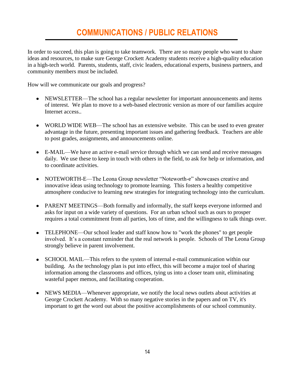### **COMMUNICATIONS / PUBLIC RELATIONS**

In order to succeed, this plan is going to take teamwork. There are so many people who want to share ideas and resources, to make sure George Crockett Academy students receive a high-quality education in a high-tech world. Parents, students, staff, civic leaders, educational experts, business partners, and community members must be included.

How will we communicate our goals and progress?

- NEWSLETTER—The school has a regular newsletter for important announcements and items of interest. We plan to move to a web-based electronic version as more of our families acquire Internet access..
- WORLD WIDE WEB—The school has an extensive website. This can be used to even greater advantage in the future, presenting important issues and gathering feedback. Teachers are able to post grades, assignments, and announcements online.
- E-MAIL—We have an active e-mail service through which we can send and receive messages daily. We use these to keep in touch with others in the field, to ask for help or information, and to coordinate activities.
- NOTEWORTH-E—The Leona Group newsletter "Noteworth-e" showcases creative and innovative ideas using technology to promote learning. This fosters a healthy competitive atmosphere conducive to learning new strategies for integrating technology into the curriculum.
- PARENT MEETINGS—Both formally and informally, the staff keeps everyone informed and asks for input on a wide variety of questions. For an urban school such as ours to prosper requires a total commitment from all parties, lots of time, and the willingness to talk things over.
- TELEPHONE—Our school leader and staff know how to "work the phones" to get people involved. It's a constant reminder that the real network is people. Schools of The Leona Group strongly believe in parent involvement.
- SCHOOL MAIL—This refers to the system of internal e-mail communication within our building. As the technology plan is put into effect, this will become a major tool of sharing information among the classrooms and offices, tying us into a closer team unit, eliminating wasteful paper memos, and facilitating cooperation.
- NEWS MEDIA—Whenever appropriate, we notify the local news outlets about activities at George Crockett Academy. With so many negative stories in the papers and on TV, it's important to get the word out about the positive accomplishments of our school community.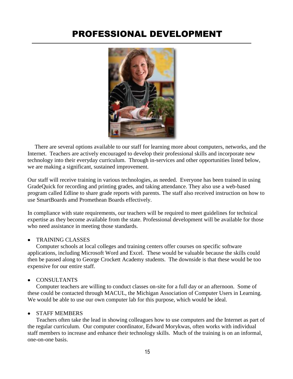### PROFESSIONAL DEVELOPMENT



 There are several options available to our staff for learning more about computers, networks, and the Internet. Teachers are actively encouraged to develop their professional skills and incorporate new technology into their everyday curriculum. Through in-services and other opportunities listed below, we are making a significant, sustained improvement.

Our staff will receive training in various technologies, as needed. Everyone has been trained in using GradeQuick for recording and printing grades, and taking attendance. They also use a web-based program called Edline to share grade reports with parents. The staff also received instruction on how to use SmartBoards amd Promethean Boards effectively.

In compliance with state requirements, our teachers will be required to meet guidelines for technical expertise as they become available from the state. Professional development will be available for those who need assistance in meeting those standards.

#### TRAINING CLASSES

Computer schools at local colleges and training centers offer courses on specific software applications, including Microsoft Word and Excel. These would be valuable because the skills could then be passed along to George Crockett Academy students. The downside is that these would be too expensive for our entire staff.

#### CONSULTANTS

Computer teachers are willing to conduct classes on-site for a full day or an afternoon. Some of these could be contacted through MACUL, the Michigan Association of Computer Users in Learning. We would be able to use our own computer lab for this purpose, which would be ideal.

#### STAFF MEMBERS  $\bullet$

Teachers often take the lead in showing colleagues how to use computers and the Internet as part of the regular curriculum. Our computer coordinator, Edward Morykwas, often works with individual staff members to increase and enhance their technology skills. Much of the training is on an informal, one-on-one basis.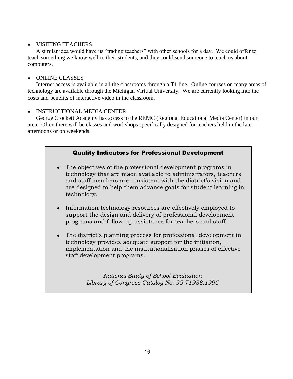### • VISITING TEACHERS

A similar idea would have us "trading teachers" with other schools for a day. We could offer to teach something we know well to their students, and they could send someone to teach us about computers.

### • ONLINE CLASSES

Internet access is available in all the classrooms through a T1 line. Online courses on many areas of technology are available through the Michigan Virtual University. We are currently looking into the costs and benefits of interactive video in the classroom.

### INSTRUCTIONAL MEDIA CENTER

George Crockett Academy has access to the REMC (Regional Educational Media Center) in our area. Often there will be classes and workshops specifically designed for teachers held in the late afternoons or on weekends.

### Quality Indicators for Professional Development

- The objectives of the professional development programs in technology that are made available to administrators, teachers and staff members are consistent with the district's vision and are designed to help them advance goals for student learning in technology.
- Information technology resources are effectively employed to support the design and delivery of professional development programs and follow-up assistance for teachers and staff.
- The district's planning process for professional development in technology provides adequate support for the initiation, implementation and the institutionalization phases of effective staff development programs.

Library of Congress Catalog No. 95-71988.1996 *National Study of School Evaluation*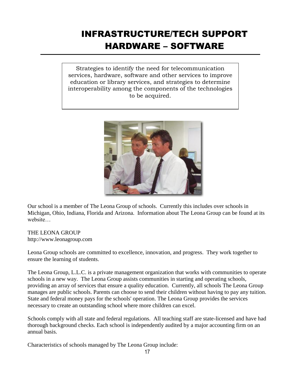# INFRASTRUCTURE/TECH SUPPORT HARDWARE – SOFTWARE

Strategies to identify the need for telecommunication services, hardware, software and other services to improve education or library services, and strategies to determine interoperability among the components of the technologies to be acquired.



Our school is a member of The Leona Group of schools. Currently this includes over schools in Michigan, Ohio, Indiana, Florida and Arizona. Information about The Leona Group can be found at its website

THE LEONA GROUP http://www.leonagroup.com

Leona Group schools are committed to excellence, innovation, and progress. They work together to ensure the learning of students.

The Leona Group, L.L.C. is a private management organization that works with communities to operate schools in a new way. The Leona Group assists communities in starting and operating schools, providing an array of services that ensure a quality education. Currently, all schools The Leona Group manages are public schools. Parents can choose to send their children without having to pay any tuition. State and federal money pays for the schools' operation. The Leona Group provides the services necessary to create an outstanding school where more children can excel.

Schools comply with all state and federal regulations. All teaching staff are state-licensed and have had thorough background checks. Each school is independently audited by a major accounting firm on an annual basis.

Characteristics of schools managed by The Leona Group include: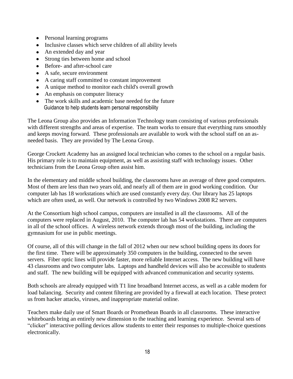- Personal learning programs
- Inclusive classes which serve children of all ability levels
- An extended day and year
- Strong ties between home and school
- Before- and after-school care
- A safe, secure environment
- A caring staff committed to constant improvement
- A unique method to monitor each child's overall growth
- An emphasis on computer literacy
- The work skills and academic base needed for the future Guidance to help students learn personal responsibility

The Leona Group also provides an Information Technology team consisting of various professionals with different strengths and areas of expertise. The team works to ensure that everything runs smoothly and keeps moving forward. These professionals are available to work with the school staff on an asneeded basis. They are provided by The Leona Group.

George Crockett Academy has an assigned local technician who comes to the school on a regular basis. His primary role is to maintain equipment, as well as assisting staff with technology issues. Other technicians from the Leona Group often assist him.

In the elementary and middle school building, the classrooms have an average of three good computers. Most of them are less than two years old, and nearly all of them are in good working condition. Our computer lab has 18 workstations which are used constantly every day. Our library has 25 laptops which are often used, as well. Our network is controlled by two Windows 2008 R2 servers.

At the Consortium high school campus, computers are installed in all the classrooms. All of the computers were replaced in August, 2010. The computer lab has 54 workstations. There are computers in all of the school offices. A wireless network extends through most of the building, including the gymnasium for use in public meetings.

Of course, all of this will change in the fall of 2012 when our new school building opens its doors for the first time. There will be approximately 350 computers in the building, connected to the seven servers. Fiber optic lines will provide faster, more reliable Internet access. The new building will have 43 classrooms and two computer labs. Laptops and handheld devices will also be accessible to students and staff. The new building will be equipped with advanced communication and security systems.

Both schools are already equipped with T1 line broadband Internet access, as well as a cable modem for load balancing. Security and content filtering are provided by a firewall at each location. These protect us from hacker attacks, viruses, and inappropriate material online.

Teachers make daily use of Smart Boards or Promethean Boards in all classrooms. These interactive whiteboards bring an entirely new dimension to the teaching and learning experience. Several sets of "clicker" interactive polling devices allow students to enter their responses to multiple-choice questions electronically.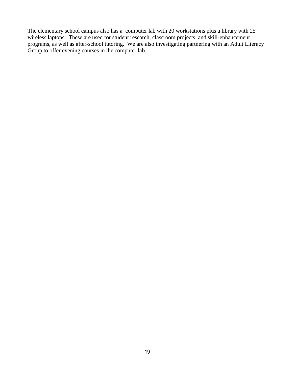The elementary school campus also has a computer lab with 20 workstations plus a library with 25 wireless laptops. These are used for student research, classroom projects, and skill-enhancement programs, as well as after-school tutoring. We are also investigating partnering with an Adult Literacy Group to offer evening courses in the computer lab.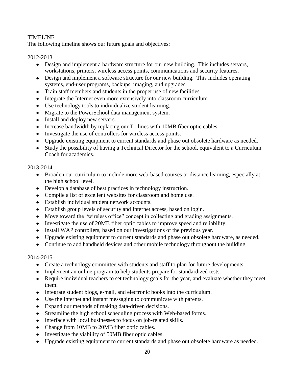### TIMELINE

The following timeline shows our future goals and objectives:

### 2012-2013

- Design and implement a hardware structure for our new building. This includes servers, workstations, printers, wireless access points, communications and security features.
- Design and implement a software structure for our new building. This includes operating systems, end-user programs, backups, imaging, and upgrades.
- Train staff members and students in the proper use of new facilities.
- Integrate the Internet even more extensively into classroom curriculum.
- Use technology tools to individualize student learning.
- Migrate to the PowerSchool data management system.
- Install and deploy new servers.
- Increase bandwidth by replacing our T1 lines with 10MB fiber optic cables.
- Investigate the use of controllers for wireless access points.
- Upgrade existing equipment to current standards and phase out obsolete hardware as needed.
- Study the possibility of having a Technical Director for the school, equivalent to a Curriculum Coach for academics.

### 2013-2014

- Broaden our curriculum to include more web-based courses or distance learning, especially at the high school level.
- Develop a database of best practices in technology instruction.
- Compile a list of excellent websites for classroom and home use.
- Establish individual student network accounts.
- Establish group levels of security and Internet access, based on login.
- Move toward the "wireless office" concept in collecting and grading assignments.
- Investigate the use of 20MB fiber optic cables to improve speed and reliability.
- Install WAP controllers, based on our investigations of the previous year.
- Upgrade existing equipment to current standards and phase out obsolete hardware, as needed.
- Continue to add handheld devices and other mobile technology throughout the building.

### 2014-2015

- Create a technology committee with students and staff to plan for future developments.
- Implement an online program to help students prepare for standardized tests.
- Require individual teachers to set technology goals for the year, and evaluate whether they meet them.
- Integrate student blogs, e-mail, and electronic books into the curriculum.
- Use the Internet and instant messaging to communicate with parents.
- Expand our methods of making data-driven decisions.
- Streamline the high school scheduling process with Web-based forms.
- Interface with local businesses to focus on job-related skills.
- Change from 10MB to 20MB fiber optic cables.
- Investigate the viability of 50MB fiber optic cables.
- Upgrade existing equipment to current standards and phase out obsolete hardware as needed.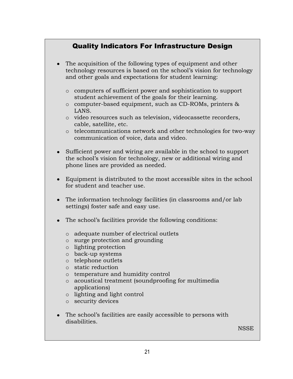### Quality Indicators For Infrastructure Design

- The acquisition of the following types of equipment and other technology resources is based on the school's vision for technology and other goals and expectations for student learning:
	- o computers of sufficient power and sophistication to support student achievement of the goals for their learning.
	- o computer-based equipment, such as CD-ROMs, printers & LANS.
	- o video resources such as television, videocassette recorders, cable, satellite, etc.
	- o telecommunications network and other technologies for two-way communication of voice, data and video.
- Sufficient power and wiring are available in the school to support the school's vision for technology, new or additional wiring and phone lines are provided as needed.
- Equipment is distributed to the most accessible sites in the school for student and teacher use.
- The information technology facilities (in classrooms and/or lab settings) foster safe and easy use.
- The school's facilities provide the following conditions:
	- o adequate number of electrical outlets
	- o surge protection and grounding
	- o lighting protection
	- o back-up systems
	- o telephone outlets
	- o static reduction
	- o temperature and humidity control
	- o acoustical treatment (soundproofing for multimedia applications)
	- o lighting and light control
	- o security devices
- The school's facilities are easily accessible to persons with  $\bullet$ disabilities.

**NSSE**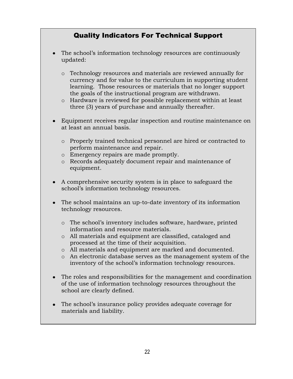### Quality Indicators For Technical Support

- The school's information technology resources are continuously  $\bullet$ updated:
	- o Technology resources and materials are reviewed annually for currency and for value to the curriculum in supporting student learning. Those resources or materials that no longer support the goals of the instructional program are withdrawn.
	- o Hardware is reviewed for possible replacement within at least three (3) years of purchase and annually thereafter.
- Equipment receives regular inspection and routine maintenance on at least an annual basis.
	- o Properly trained technical personnel are hired or contracted to perform maintenance and repair.
	- o Emergency repairs are made promptly.
	- o Records adequately document repair and maintenance of equipment.
- A comprehensive security system is in place to safeguard the school's information technology resources.
- The school maintains an up-to-date inventory of its information technology resources.
	- o The school's inventory includes software, hardware, printed information and resource materials.
	- o All materials and equipment are classified, cataloged and processed at the time of their acquisition.
	- o All materials and equipment are marked and documented.
	- o An electronic database serves as the management system of the inventory of the school's information technology resources.
- $\bullet$ The roles and responsibilities for the management and coordination of the use of information technology resources throughout the school are clearly defined.
- The school's insurance policy provides adequate coverage for materials and liability.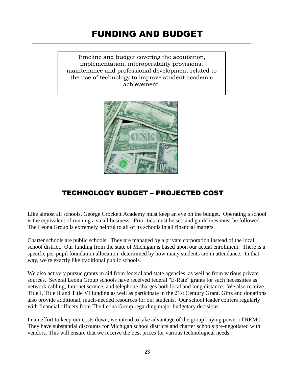### FUNDING AND BUDGET

Timeline and budget covering the acquisition, implementation, interoperability provisions, maintenance and professional development related to the use of technology to improve student academic achievement.



### TECHNOLOGY BUDGET – PROJECTED COST

Like almost all schools, George Crockett Academy must keep an eye on the budget. Operating a school is the equivalent of running a small business. Priorities must be set, and guidelines must be followed. The Leona Group is extremely helpful to all of its schools in all financial matters.

Charter schools are public schools. They are managed by a private corporation instead of the local school district. Our funding from the state of Michigan is based upon our actual enrollment. There is a specific per-pupil foundation allocation, determined by how many students are in attendance. In that way, we're exactly like traditional public schools.

We also actively pursue grants in aid from federal and state agencies, as well as from various private sources. Several Leona Group schools have received federal "E-Rate" grants for such necessities as network cabling, Internet service, and telephone charges both local and long distance. We also receive Title I, Title II and Title VI funding as well as participate in the 21st Century Grant. Gifts and donations also provide additional, much-needed resources for our students. Our school leader confers regularly with financial officers from The Leona Group regarding major budgetary decisions.

In an effort to keep our costs down, we intend to take advantage of the group buying power of REMC. They have substantial discounts for Michigan school districts and charter schools pre-negotiated with vendors. This will ensure that we receive the best prices for various technological needs.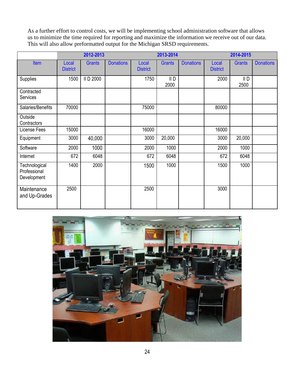As a further effort to control costs, we will be implementing school administration software that allows us to minimize the time required for reporting and maximize the information we receive out of our data. This will also allow preformatted output for the Michigan SRSD requirements.

|                                              | 2012-2013                |               |                  | 2013-2014                |               |                  | 2014-2015                |               |                  |
|----------------------------------------------|--------------------------|---------------|------------------|--------------------------|---------------|------------------|--------------------------|---------------|------------------|
| <b>Item</b>                                  | Local<br><b>District</b> | <b>Grants</b> | <b>Donations</b> | Local<br><b>District</b> | <b>Grants</b> | <b>Donations</b> | Local<br><b>District</b> | <b>Grants</b> | <b>Donations</b> |
| Supplies                                     | 1500                     | II D 2000     |                  | 1750                     | II D<br>2000  |                  | 2000                     | II D<br>2500  |                  |
| Contracted<br>Services                       |                          |               |                  |                          |               |                  |                          |               |                  |
| Salaries/Benefits                            | 70000                    |               |                  | 75000                    |               |                  | 80000                    |               |                  |
| Outside<br>Contractors                       |                          |               |                  |                          |               |                  |                          |               |                  |
| License Fees                                 | 15000                    |               |                  | 16000                    |               |                  | 16000                    |               |                  |
| Equipment                                    | 3000                     | 40,000        |                  | 3000                     | 20,000        |                  | 3000                     | 20,000        |                  |
| Software                                     | 2000                     | 1000          |                  | 2000                     | 1000          |                  | 2000                     | 1000          |                  |
| Internet                                     | 672                      | 6048          |                  | 672                      | 6048          |                  | 672                      | 6048          |                  |
| Technological<br>Professional<br>Development | 1400                     | 2000          |                  | 1500                     | 1000          |                  | 1500                     | 1000          |                  |
| Maintenance<br>and Up-Grades                 | 2500                     |               |                  | 2500                     |               |                  | 3000                     |               |                  |

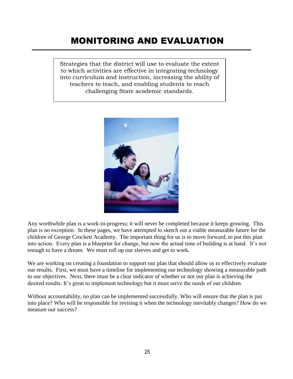### MONITORING AND EVALUATION

Strategies that the district will use to evaluate the extent to which activities are effective in integrating technology into curriculum and instruction, increasing the ability of teachers to teach, and enabling students to reach challenging State academic standards.



Any worthwhile plan is a work-in-progress; it will never be completed because it keeps growing. This plan is no exception. In these pages, we have attempted to sketch out a viable measurable future for the children of George Crockett Academy. The important thing for us is to move forward, to put this plan into action. Every plan is a blueprint for change, but now the actual time of building is at hand. It's not enough to have a dream. We must roll up our sleeves and get to work.

We are working on creating a foundation to support our plan that should allow us to effectively evaluate our results. First, we must have a timeline for implementing our technology showing a measurable path to our objectives. Next, there must be a clear indicator of whether or not our plan is achieving the desired results. It's great to implement technology but it must serve the needs of our children.

Without accountability, no plan can be implemented successfully. Who will ensure that the plan is put into place? Who will be responsible for revising it when the technology inevitably changes? How do we measure our success?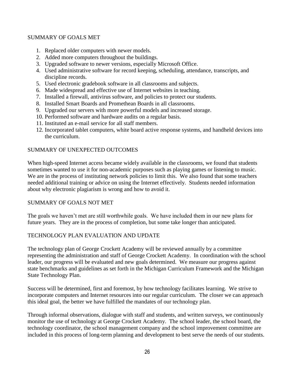### SUMMARY OF GOALS MET

- 1. Replaced older computers with newer models.
- 2. Added more computers throughout the buildings.
- 3. Upgraded software to newer versions, especially Microsoft Office.
- 4. Used administrative software for record keeping, scheduling, attendance, transcripts, and discipline records.
- 5. Used electronic gradebook software in all classrooms and subjects.
- 6. Made widespread and effective use of Internet websites in teaching.
- 7. Installed a firewall, antivirus software, and policies to protect our students.
- 8. Installed Smart Boards and Promethean Boards in all classrooms.
- 9. Upgraded our servers with more powerful models and increased storage.
- 10. Performed software and hardware audits on a regular basis.
- 11. Instituted an e-mail service for all staff members.
- 12. Incorporated tablet computers, white board active response systems, and handheld devices into the curriculum.

### SUMMARY OF UNEXPECTED OUTCOMES

When high-speed Internet access became widely available in the classrooms, we found that students sometimes wanted to use it for non-academic purposes such as playing games or listening to music. We are in the process of instituting network policies to limit this. We also found that some teachers needed additional training or advice on using the Internet effectively. Students needed information about why electronic plagiarism is wrong and how to avoid it.

### SUMMARY OF GOALS NOT MET

The goals we haven't met are still worthwhile goals. We have included them in our new plans for future years. They are in the process of completion, but some take longer than anticipated.

### TECHNOLOGY PLAN EVALUATION AND UPDATE

The technology plan of George Crockett Academy will be reviewed annually by a committee representing the administration and staff of George Crockett Academy. In coordination with the school leader, our progress will be evaluated and new goals determined. We measure our progress against state benchmarks and guidelines as set forth in the Michigan Curriculum Framework and the Michigan State Technology Plan.

Success will be determined, first and foremost, by how technology facilitates learning. We strive to incorporate computers and Internet resources into our regular curriculum. The closer we can approach this ideal goal, the better we have fulfilled the mandates of our technology plan.

Through informal observations, dialogue with staff and students, and written surveys, we continuously monitor the use of technology at George Crockett Academy. The school leader, the school board, the technology coordinator, the school management company and the school improvement committee are included in this process of long-term planning and development to best serve the needs of our students.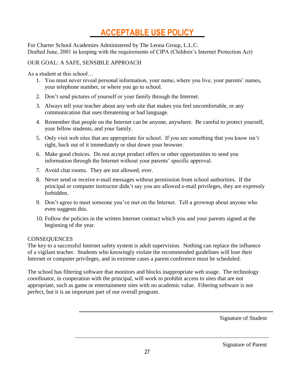## **ACCEPTABLE USE POLICY**

For Charter School Academies Administered by The Leona Group, L.L.C. Drafted June, 2001 in keeping with the requirements of CIPA (Children's Internet Protection Act)

### OUR GOAL: A SAFE, SENSIBLE APPROACH

As a student at this school…

- 1. You must never reveal personal information, your name, where you live, your parents' names, your telephone number, or where you go to school.
- 2. Don't send pictures of yourself or your family through the Internet.
- 3. Always tell your teacher about any web site that makes you feel uncomfortable, or any communication that uses threatening or bad language.
- 4. Remember that people on the Internet can be anyone, anywhere. Be careful to protect yourself, your fellow students, and your family.
- 5. Only visit web sites that are appropriate for school. If you see something that you know isn't right, back out of it immediately or shut down your browser.
- 6. Make good choices. Do not accept product offers or other opportunities to send you information through the Internet without your parents' specific approval.
- 7. Avoid chat rooms. They are not allowed, ever.
- 8. Never send or receive e-mail messages without permission from school authorities. If the principal or computer instructor didn't say you are allowed e-mail privileges, they are expressly forbidden.
- 9. Don't agree to meet someone you've met on the Internet. Tell a grownup about anyone who even suggests this.
- 10. Follow the policies in the written Internet contract which you and your parents signed at the beginning of the year.

### **CONSEQUENCES**

The key to a successful Internet safety system is adult supervision. Nothing can replace the influence of a vigilant teacher. Students who knowingly violate the recommended guidelines will lose their Internet or computer privileges, and in extreme cases a parent conference must be scheduled.

The school has filtering software that monitors and blocks inappropriate web usage. The technology coordinator, in cooperation with the principal, will work to prohibit access to sites that are not appropriate, such as game or entertainment sites with no academic value. Filtering software is not perfect, but it is an important part of our overall program.

Signature of Student

Signature of Parent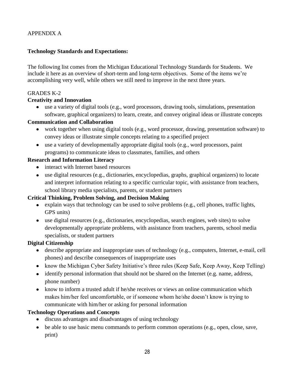### APPENDIX A

### **Technology Standards and Expectations:**

The following list comes from the Michigan Educational Technology Standards for Students. We include it here as an overview of short-term and long-term objectives. Some of the items we're accomplishing very well, while others we still need to improve in the next three years.

### GRADES K-2

### **Creativity and Innovation**

use a variety of digital tools (e.g., word processors, drawing tools, simulations, presentation software, graphical organizers) to learn, create, and convey original ideas or illustrate concepts

### **Communication and Collaboration**

- work together when using digital tools (e.g., word processor, drawing, presentation software) to convey ideas or illustrate simple concepts relating to a specified project
- use a variety of developmentally appropriate digital tools (e.g., word processors, paint programs) to communicate ideas to classmates, families, and others

### **Research and Information Literacy**

- interact with Internet based resources
- $\bullet$  use digital resources (e.g., dictionaries, encyclopedias, graphs, graphical organizers) to locate and interpret information relating to a specific curricular topic, with assistance from teachers, school library media specialists, parents, or student partners

### **Critical Thinking, Problem Solving, and Decision Making**

- explain ways that technology can be used to solve problems (e.g., cell phones, traffic lights, GPS units)
- use digital resources (e.g., dictionaries, encyclopedias, search engines, web sites) to solve developmentally appropriate problems, with assistance from teachers, parents, school media specialists, or student partners

### **Digital Citizenship**

- describe appropriate and inappropriate uses of technology (e.g., computers, Internet, e-mail, cell phones) and describe consequences of inappropriate uses
- know the Michigan Cyber Safety Initiative's three rules (Keep Safe, Keep Away, Keep Telling)
- identify personal information that should not be shared on the Internet (e.g. name, address, phone number)
- know to inform a trusted adult if he/she receives or views an online communication which makes him/her feel uncomfortable, or if someone whom he/she doesn't know is trying to communicate with him/her or asking for personal information

### **Technology Operations and Concepts**

- discuss advantages and disadvantages of using technology
- be able to use basic menu commands to perform common operations (e.g., open, close, save, print)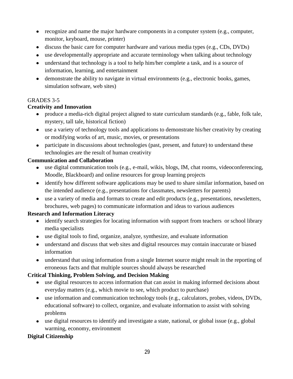- recognize and name the major hardware components in a computer system (e.g., computer, monitor, keyboard, mouse, printer)
- discuss the basic care for computer hardware and various media types (e.g., CDs, DVDs)
- use developmentally appropriate and accurate terminology when talking about technology
- understand that technology is a tool to help him/her complete a task, and is a source of information, learning, and entertainment
- demonstrate the ability to navigate in virtual environments (e.g., electronic books, games, simulation software, web sites)

### GRADES 3-5

### **Creativity and Innovation**

- produce a media-rich digital project aligned to state curriculum standards (e.g., fable, folk tale, mystery, tall tale, historical fiction)
- use a variety of technology tools and applications to demonstrate his/her creativity by creating or modifying works of art, music, movies, or presentations
- participate in discussions about technologies (past, present, and future) to understand these technologies are the result of human creativity

### **Communication and Collaboration**

- use digital communication tools (e.g., e-mail, wikis, blogs, IM, chat rooms, videoconferencing, Moodle, Blackboard) and online resources for group learning projects
- identify how different software applications may be used to share similar information, based on the intended audience (e.g., presentations for classmates, newsletters for parents)
- use a variety of media and formats to create and edit products (e.g., presentations, newsletters, brochures, web pages) to communicate information and ideas to various audiences

### **Research and Information Literacy**

- identify search strategies for locating information with support from teachers or school library media specialists
- use digital tools to find, organize, analyze, synthesize, and evaluate information
- understand and discuss that web sites and digital resources may contain inaccurate or biased information
- understand that using information from a single Internet source might result in the reporting of erroneous facts and that multiple sources should always be researched

### **Critical Thinking, Problem Solving, and Decision Making**

- use digital resources to access information that can assist in making informed decisions about everyday matters (e.g., which movie to see, which product to purchase)
- use information and communication technology tools (e.g., calculators, probes, videos, DVDs, educational software) to collect, organize, and evaluate information to assist with solving problems
- use digital resources to identify and investigate a state, national, or global issue (e.g., global warming, economy, environment

### **Digital Citizenship**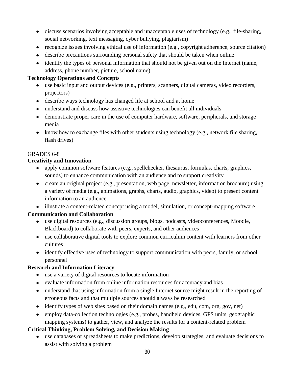- discuss scenarios involving acceptable and unacceptable uses of technology (e.g., file-sharing, social networking, text messaging, cyber bullying, plagiarism)
- recognize issues involving ethical use of information (e.g., copyright adherence, source citation)
- describe precautions surrounding personal safety that should be taken when online
- identify the types of personal information that should not be given out on the Internet (name, address, phone number, picture, school name)

### **Technology Operations and Concepts**

- use basic input and output devices (e.g., printers, scanners, digital cameras, video recorders, projectors)
- describe ways technology has changed life at school and at home
- understand and discuss how assistive technologies can benefit all individuals
- demonstrate proper care in the use of computer hardware, software, peripherals, and storage media
- know how to exchange files with other students using technology (e.g., network file sharing, flash drives)

### GRADES 6-8

### **Creativity and Innovation**

- apply common software features (e.g., spellchecker, thesaurus, formulas, charts, graphics, sounds) to enhance communication with an audience and to support creativity
- create an original project (e.g., presentation, web page, newsletter, information brochure) using a variety of media (e.g., animations, graphs, charts, audio, graphics, video) to present content information to an audience
- illustrate a content-related concept using a model, simulation, or concept-mapping software

### **Communication and Collaboration**

- use digital resources (e.g., discussion groups, blogs, podcasts, videoconferences, Moodle, Blackboard) to collaborate with peers, experts, and other audiences
- use collaborative digital tools to explore common curriculum content with learners from other cultures
- identify effective uses of technology to support communication with peers, family, or school personnel

### **Research and Information Literacy**

- use a variety of digital resources to locate information
- evaluate information from online information resources for accuracy and bias
- understand that using information from a single Internet source might result in the reporting of erroneous facts and that multiple sources should always be researched
- $\bullet$  identify types of web sites based on their domain names (e.g., edu, com, org, gov, net)
- employ data-collection technologies (e.g., probes, handheld devices, GPS units, geographic mapping systems) to gather, view, and analyze the results for a content-related problem

### **Critical Thinking, Problem Solving, and Decision Making**

use databases or spreadsheets to make predictions, develop strategies, and evaluate decisions to assist with solving a problem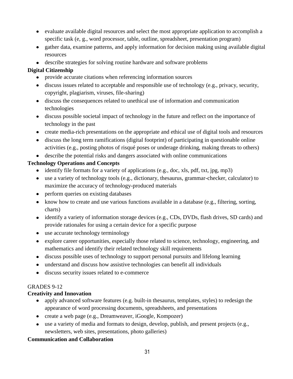- evaluate available digital resources and select the most appropriate application to accomplish a specific task (e, g., word processor, table, outline, spreadsheet, presentation program)
- gather data, examine patterns, and apply information for decision making using available digital resources
- describe strategies for solving routine hardware and software problems

### **Digital Citizenship**

- provide accurate citations when referencing information sources
- $\bullet$  discuss issues related to acceptable and responsible use of technology (e.g., privacy, security, copyright, plagiarism, viruses, file-sharing)
- discuss the consequences related to unethical use of information and communication technologies
- discuss possible societal impact of technology in the future and reflect on the importance of technology in the past
- create media-rich presentations on the appropriate and ethical use of digital tools and resources
- discuss the long term ramifications (digital footprint) of participating in questionable online activities (e.g., posting photos of risqué poses or underage drinking, making threats to others)
- describe the potential risks and dangers associated with online communications

### **Technology Operations and Concepts**

- identify file formats for a variety of applications (e.g., doc, xls, pdf, txt, jpg, mp3)
- use a variety of technology tools (e.g., dictionary, thesaurus, grammar-checker, calculator) to maximize the accuracy of technology-produced materials
- perform queries on existing databases
- know how to create and use various functions available in a database (e.g., filtering, sorting, charts)
- identify a variety of information storage devices (e.g., CDs, DVDs, flash drives, SD cards) and provide rationales for using a certain device for a specific purpose
- use accurate technology terminology
- explore career opportunities, especially those related to science, technology, engineering, and mathematics and identify their related technology skill requirements
- discuss possible uses of technology to support personal pursuits and lifelong learning
- understand and discuss how assistive technologies can benefit all individuals
- discuss security issues related to e-commerce

### GRADES 9-12

### **Creativity and Innovation**

- apply advanced software features (e.g. built-in thesaurus, templates, styles) to redesign the appearance of word processing documents, spreadsheets, and presentations
- create a web page (e.g., Dreamweaver, iGoogle, Kompozer)
- use a variety of media and formats to design, develop, publish, and present projects (e.g., newsletters, web sites, presentations, photo galleries)

### **Communication and Collaboration**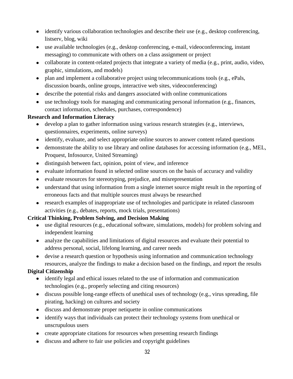- identify various collaboration technologies and describe their use (e.g., desktop conferencing, listserv, blog, wiki
- use available technologies (e.g., desktop conferencing, e-mail, videoconferencing, instant messaging) to communicate with others on a class assignment or project
- collaborate in content-related projects that integrate a variety of media (e.g., print, audio, video, graphic, simulations, and models)
- plan and implement a collaborative project using telecommunications tools (e.g., ePals, discussion boards, online groups, interactive web sites, videoconferencing)
- describe the potential risks and dangers associated with online communications
- use technology tools for managing and communicating personal information (e.g., finances, contact information, schedules, purchases, correspondence)

### **Research and Information Literacy**

- develop a plan to gather information using various research strategies (e.g., interviews, questionnaires, experiments, online surveys)
- identify, evaluate, and select appropriate online sources to answer content related questions
- demonstrate the ability to use library and online databases for accessing information (e.g., MEL, Proquest, Infosource, United Streaming)
- distinguish between fact, opinion, point of view, and inference
- evaluate information found in selected online sources on the basis of accuracy and validity
- evaluate resources for stereotyping, prejudice, and misrepresentation
- understand that using information from a single internet source might result in the reporting of erroneous facts and that multiple sources must always be researched
- research examples of inappropriate use of technologies and participate in related classroom activities (e.g., debates, reports, mock trials, presentations)

### **Critical Thinking, Problem Solving, and Decision Making**

- use digital resources (e.g., educational software, simulations, models) for problem solving and independent learning
- analyze the capabilities and limitations of digital resources and evaluate their potential to address personal, social, lifelong learning, and career needs
- devise a research question or hypothesis using information and communication technology resources, analyze the findings to make a decision based on the findings, and report the results

### **Digital Citizenship**

- identify legal and ethical issues related to the use of information and communication technologies (e.g., properly selecting and citing resources)
- discuss possible long-range effects of unethical uses of technology (e.g., virus spreading, file pirating, hacking) on cultures and society
- discuss and demonstrate proper netiquette in online communications
- identify ways that individuals can protect their technology systems from unethical or unscrupulous users
- create appropriate citations for resources when presenting research findings
- discuss and adhere to fair use policies and copyright guidelines